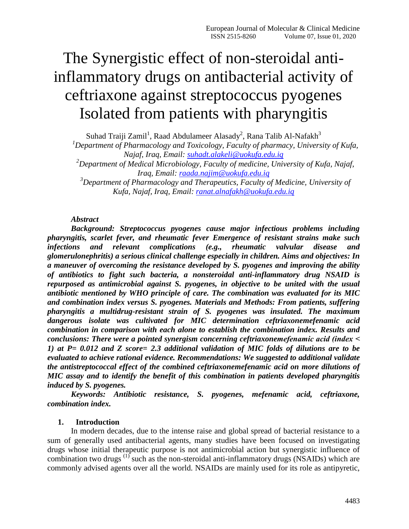# The Synergistic effect of non-steroidal antiinflammatory drugs on antibacterial activity of ceftriaxone against streptococcus pyogenes Isolated from patients with pharyngitis

Suhad Traiji Zamil<sup>1</sup>, Raad Abdulameer Alasady<sup>2</sup>, Rana Talib Al-Nafakh<sup>3</sup>

*<sup>1</sup>Department of Pharmacology and Toxicology, Faculty of pharmacy, University of Kufa, Najaf, Iraq, Email: [suhadt.alakeli@uokufa.edu.iq](mailto:suhadt.alakeli@uokufa.edu.iq)*

*<sup>2</sup>Department of Medical Microbiology, Faculty of medicine, University of Kufa, Najaf, Iraq, Email: [raada.najim@uokufa.edu.iq](mailto:raada.najim@uokufa.edu.iq)*

*<sup>3</sup>Department of Pharmacology and Therapeutics, Faculty of Medicine, University of Kufa, Najaf, Iraq, Email: [ranat.alnafakh@uokufa.edu.iq](mailto:ranat.alnafakh@uokufa.edu.iq)*

#### *Abstract*

*Background: Streptococcus pyogenes cause major infectious problems including pharyngitis, scarlet fever, and rheumatic fever Emergence of resistant strains make such infections and relevant complications (e.g., rheumatic valvular disease and glomerulonephritis) a serious clinical challenge especially in children. Aims and objectives: In a maneuver of overcoming the resistance developed by S. pyogenes and improving the ability of antibiotics to fight such bacteria, a nonsteroidal anti-inflammatory drug NSAID is repurposed as antimicrobial against S. pyogenes, in objective to be united with the usual antibiotic mentioned by WHO principle of care. The combination was evaluated for its MIC and combination index versus S. pyogenes. Materials and Methods: From patients, suffering pharyngitis a multidrug-resistant strain of S. pyogenes was insulated. The maximum dangerous isolate was cultivated for MIC determination ceftriaxonemefenamic acid combination in comparison with each alone to establish the combination index. Results and conclusions: There were a pointed synergism concerning ceftriaxonemefenamic acid (index ˂ 1) at P= 0.012 and Z score= 2.3 additional validation of MIC folds of dilutions are to be evaluated to achieve rational evidence. Recommendations: We suggested to additional validate the antistreptococcal effect of the combined ceftriaxonemefenamic acid on more dilutions of MIC assay and to identify the benefit of this combination in patients developed pharyngitis induced by S. pyogenes.* 

*Keywords: Antibiotic resistance, S. pyogenes, mefenamic acid, ceftriaxone, combination index.* 

#### **1. Introduction**

In modern decades, due to the intense raise and global spread of bacterial resistance to a sum of generally used antibacterial agents, many studies have been focused on investigating drugs whose initial therapeutic purpose is not antimicrobial action but synergistic influence of combination two drugs (1) such as the non-steroidal anti-inflammatory drugs (NSAIDs) which are commonly advised agents over all the world. NSAIDs are mainly used for its role as antipyretic,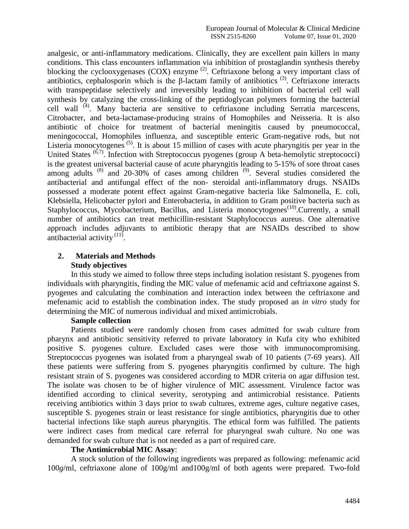analgesic, or anti-inflammatory medications. Clinically, they are excellent pain killers in many conditions. This class encounters inflammation via inhibition of prostaglandin synthesis thereby blocking the cyclooxygenases (COX) enzyme<sup>(2)</sup>. Ceftriaxone belong a very important class of antibiotics, cephalosporin which is the  $\beta$ -lactam family of antibiotics <sup>(3)</sup>. Ceftriaxone interacts with transpeptidase selectively and irreversibly leading to inhibition of bacterial cell wall synthesis by catalyzing the cross-linking of the peptidoglycan polymers forming the bacterial cell wall <sup>(4)</sup>. Many bacteria are sensitive to ceftriaxone including Serratia marcescens, Citrobacter, and beta-lactamase-producing strains of Homophiles and Neisseria. It is also antibiotic of choice for treatment of bacterial meningitis caused by pneumococcal, meningococcal, Homophiles influenza, and susceptible enteric Gram-negative rods, but not Listeria monocytogenes<sup>(5)</sup>. It is about 15 million of cases with acute pharyngitis per year in the United States  $^{(6,7)}$ . Infection with Streptococcus pyogenes (group A beta-hemolytic streptococci) is the greatest universal bacterial cause of acute pharyngitis leading to 5-15% of sore throat cases among adults  $(8)$  and 20-30% of cases among children  $(9)$ . Several studies considered the antibacterial and antifungal effect of the non- steroidal anti-inflammatory drugs. NSAIDs possessed a moderate potent effect against Gram-negative bacteria like Salmonella, E. coli, Klebsiella, Helicobacter pylori and Enterobacteria, in addition to Gram positive bacteria such as Staphylococcus, Mycobacterium, Bacillus, and Listeria monocytogenes<sup>(10)</sup>. Currently, a small number of antibiotics can treat methicillin-resistant Staphylococcus aureus. One alternative approach includes adjuvants to antibiotic therapy that are NSAIDs described to show antibacterial activity  $(11)$ .

# **2. Materials and Methods Study objectives**

In this study we aimed to follow three steps including isolation resistant S. pyogenes from individuals with pharyngitis, finding the MIC value of mefenamic acid and ceftriaxone against S. pyogenes and calculating the combination and interaction index between the ceftriaxone and mefenamic acid to establish the combination index. The study proposed an *in vitro* study for determining the MIC of numerous individual and mixed antimicrobials.

#### **Sample collection**

Patients studied were randomly chosen from cases admitted for swab culture from pharynx and antibiotic sensitivity referred to private laboratory in Kufa city who exhibited positive S. pyogenes culture. Excluded cases were those with immunocompromising. Streptococcus pyogenes was isolated from a pharyngeal swab of 10 patients (7-69 years). All these patients were suffering from S. pyogenes pharyngitis confirmed by culture. The high resistant strain of S. pyogenes was considered according to MDR criteria on agar diffusion test. The isolate was chosen to be of higher virulence of MIC assessment. Virulence factor was identified according to clinical severity, serotyping and antimicrobial resistance. Patients receiving antibiotics within 3 days prior to swab cultures, extreme ages, culture negative cases, susceptible S. pyogenes strain or least resistance for single antibiotics, pharyngitis due to other bacterial infections like staph aureus pharyngitis. The ethical form was fulfilled. The patients were indirect cases from medical care referral for pharyngeal swab culture. No one was demanded for swab culture that is not needed as a part of required care.

#### **The Antimicrobial MIC Assay**:

A stock solution of the following ingredients was prepared as following: mefenamic acid 100*g*/ml, ceftriaxone alone of 100g/ml and100g/ml of both agents were prepared. Two-fold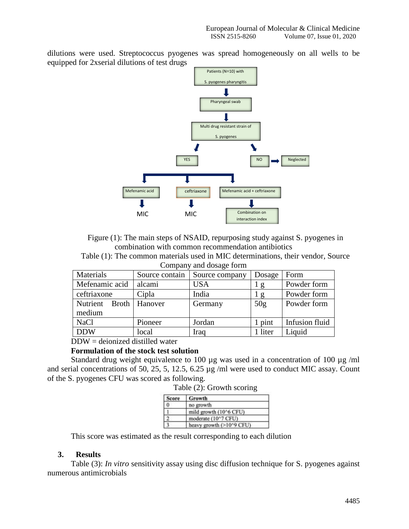dilutions were used. Streptococcus pyogenes was spread homogeneously on all wells to be equipped for 2xserial dilutions of test drugs



Figure (1): The main steps of NSAID, repurposing study against S. pyogenes in combination with common recommendation antibiotics

Table (1): The common materials used in MIC determinations, their vendor, Source Company and dosage form

| Materials         | Source contain | Source company | Dosage  | Form           |
|-------------------|----------------|----------------|---------|----------------|
| Mefenamic acid    | alcami         | <b>USA</b>     | g       | Powder form    |
| ceftriaxone       | Cipla          | India          | g       | Powder form    |
| Nutrient<br>Broth | Hanover        | Germany        | 50g     | Powder form    |
| medium            |                |                |         |                |
| <b>NaCl</b>       | Pioneer        | Jordan         | 1 pint  | Infusion fluid |
| <b>DDW</b>        | local          | Iraq           | 1 liter | Liquid         |

# DDW = deionized distilled water

#### **Formulation of the stock test solution**

Standard drug weight equivalence to 100 µg was used in a concentration of 100 µg /ml and serial concentrations of 50, 25, 5, 12.5, 6.25 µg /ml were used to conduct MIC assay. Count of the S. pyogenes CFU was scored as following.

Table (2): Growth scoring

| <b>Score</b> | <b>Growth</b>            |
|--------------|--------------------------|
| $\bf{0}$     | no growth                |
|              | mild growth (10^6 CFU)   |
|              | moderate (10^7 CFU)      |
|              | heavy growth (>10^9 CFU) |

This score was estimated as the result corresponding to each dilution

#### **3. Results**

Table (3): *In vitro* sensitivity assay using disc diffusion technique for S. pyogenes against numerous antimicrobials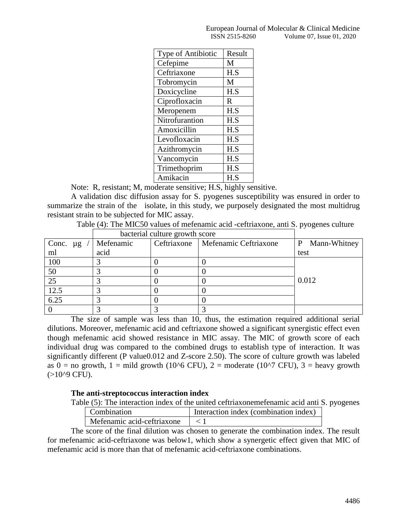|                | European Journal of Molecular & Clinical Medicine |
|----------------|---------------------------------------------------|
| ISSN 2515-8260 | Volume 07. Issue 01, 2020                         |

| Type of Antibiotic | Result |
|--------------------|--------|
| Cefepime           | M      |
| Ceftriaxone        | H.S    |
| Tobromycin         | M      |
| Doxicycline        | H.S    |
| Ciprofloxacin      | R      |
| Meropenem          | H.S    |
| Nitrofurantion     | H.S    |
| Amoxicillin        | H.S    |
| Levofloxacin       | H.S    |
| Azithromycin       | H.S    |
| Vancomycin         | H.S    |
| Trimethoprim       | H.S    |
| Amikacin           | H.S    |

Note: R, resistant; M, moderate sensitive; H.S, highly sensitive.

A validation disc diffusion assay for S. pyogenes susceptibility was ensured in order to summarize the strain of the isolate, in this study, we purposely designated the most multidrug resistant strain to be subjected for MIC assay.

Table (4): The MIC50 values of mefenamic acid -ceftriaxone, anti S. pyogenes culture

|               | bacterial culture growth score |             |                       |                   |
|---------------|--------------------------------|-------------|-----------------------|-------------------|
| Conc. $\mu$ g | Mefenamic                      | Ceftriaxone | Mefenamic Ceftriaxone | Mann-Whitney<br>P |
| ml            | acid                           |             |                       | test              |
| 100           |                                |             |                       |                   |
| 50            |                                |             |                       |                   |
| 25            |                                |             |                       | 0.012             |
| 12.5          |                                |             |                       |                   |
| 6.25          |                                |             |                       |                   |
|               |                                |             |                       |                   |

The size of sample was less than 10, thus, the estimation required additional serial dilutions. Moreover, mefenamic acid and ceftriaxone showed a significant synergistic effect even though mefenamic acid showed resistance in MIC assay. The MIC of growth score of each individual drug was compared to the combined drugs to establish type of interaction. It was significantly different (P value0.012 and Z-score 2.50). The score of culture growth was labeled as  $0 =$  no growth,  $1 =$  mild growth (10^6 CFU), 2 = moderate (10^7 CFU), 3 = heavy growth  $(>10^{9}$  CFU).

#### **The anti-streptococcus interaction index**

Table (5): The interaction index of the united ceftriaxonemefenamic acid anti S. pyogenes

| Combination                | Interaction index (combination index) |
|----------------------------|---------------------------------------|
| Mefenamic acid-ceftriaxone |                                       |

The score of the final dilution was chosen to generate the combination index. The result for mefenamic acid-ceftriaxone was below1, which show a synergetic effect given that MIC of mefenamic acid is more than that of mefenamic acid-ceftriaxone combinations.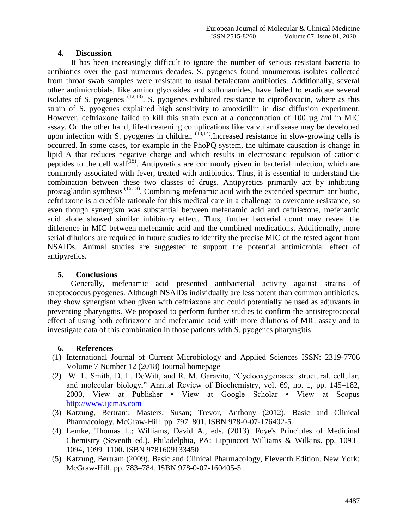## **4. Discussion**

It has been increasingly difficult to ignore the number of serious resistant bacteria to antibiotics over the past numerous decades. S. pyogenes found innumerous isolates collected from throat swab samples were resistant to usual betalactam antibiotics. Additionally, several other antimicrobials, like amino glycosides and sulfonamides, have failed to eradicate several isolates of S. pyogenes  $(12,13)$ . S. pyogenes exhibited resistance to ciprofloxacin, where as this strain of S. pyogenes explained high sensitivity to amoxicillin in disc diffusion experiment. However, ceftriaxone failed to kill this strain even at a concentration of 100  $\mu$ g /ml in MIC assay. On the other hand, life-threatening complications like valvular disease may be developed upon infection with S. pyogenes in children  $(13,14)$ . Increased resistance in slow-growing cells is occurred. In some cases, for example in the PhoPQ system, the ultimate causation is change in lipid A that reduces negative charge and which results in electrostatic repulsion of cationic peptides to the cell wall<sup> $(15)$ </sup>. Antipyretics are commonly given in bacterial infection, which are commonly associated with fever, treated with antibiotics. Thus, it is essential to understand the combination between these two classes of drugs. Antipyretics primarily act by inhibiting prostaglandin synthesis (16,18). Combining mefenamic acid with the extended spectrum antibiotic, ceftriaxone is a credible rationale for this medical care in a challenge to overcome resistance, so even though synergism was substantial between mefenamic acid and ceftriaxone, mefenamic acid alone showed similar inhibitory effect. Thus, further bacterial count may reveal the difference in MIC between mefenamic acid and the combined medications. Additionally, more serial dilutions are required in future studies to identify the precise MIC of the tested agent from NSAIDs. Animal studies are suggested to support the potential antimicrobial effect of antipyretics.

## **5. Conclusions**

Generally, mefenamic acid presented antibacterial activity against strains of streptococcus pyogenes. Although NSAIDs individually are less potent than common antibiotics, they show synergism when given with ceftriaxone and could potentially be used as adjuvants in preventing pharyngitis. We proposed to perform further studies to confirm the antistreptococcal effect of using both ceftriaxone and mefenamic acid with more dilutions of MIC assay and to investigate data of this combination in those patients with S. pyogenes pharyngitis.

#### **6. References**

- (1) International Journal of Current Microbiology and Applied Sciences ISSN: 2319-7706 Volume 7 Number 12 (2018) Journal homepage
- (2) W. L. Smith, D. L. DeWitt, and R. M. Garavito, "Cyclooxygenases: structural, cellular, and molecular biology," Annual Review of Biochemistry, vol. 69, no. 1, pp. 145–182, 2000, View at Publisher • View at Google Scholar • View at Scopus [http://www.ijcmas.com](http://www.ijcmas.com/)
- (3) Katzung, Bertram; Masters, Susan; Trevor, Anthony (2012). Basic and Clinical Pharmacology. McGraw-Hill. pp. 797–801. ISBN 978-0-07-176402-5.
- (4) Lemke, Thomas L.; Williams, David A., eds. (2013). Foye's Principles of Medicinal Chemistry (Seventh ed.). Philadelphia, PA: Lippincott Williams & Wilkins. pp. 1093– 1094, 1099–1100. ISBN 9781609133450
- (5) Katzung, Bertram (2009). Basic and Clinical Pharmacology, Eleventh Edition. New York: McGraw-Hill. pp. 783–784. ISBN 978-0-07-160405-5.